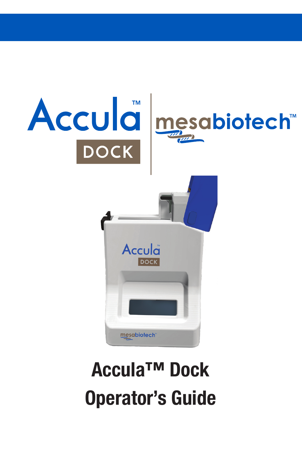

# Accula™ Dock Operator's Guide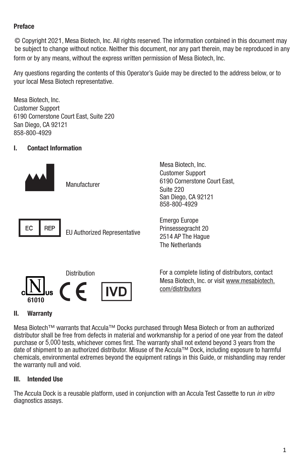### **Preface**

form or by any means, without the express written permission of Mesa Biotech, Inc. © Copyright 2021, Mesa Biotech, Inc. All rights reserved. The information contained in this document may be subject to change without notice. Neither this document, nor any part therein, may be reproduced in any

your local Mesa Biotech representative. Any questions regarding the contents of this Operator's Guide may be directed to the address below, or to

858-800-4929 San Diego, CA 92121 6190 Cornerstone Court East, Suite 220 Customer Support Mesa Biotech, Inc.

### I. Contact Information



Mesa Biotech, Inc. Customer Support 6190 Cornerstone Court East, Suite 220 San Diego, CA 92121 858-800-4929



 $EC \parallel REP \parallel EU$  Authorized Representative

Emergo Europe Prinsessegracht 20 2514 AP The Hague The Netherlands



Distribution For a complete listing of distributors, contact Mesa Biotech, Inc. or visit www.mesabiotech.

### II. Warranty

distributor shall be free from defects in material and workmanship for a period of one year from the dateof Mesa Biotech™ warrants that Accula™ Docks purchased through Mesa Biotech or from an authorized the warranty null and void. purchase or 5,000 tests, whichever comes first. The warranty shall not extend beyond 3 years from the date of shipment to an authorized distributor. Misuse of the Accula™ Dock, including exposure to harmful chemicals, environmental extremes beyond the equipment ratings in this Guide, or mishandling may render

### Ill. Intended Use

diagnostics assays. The Accula Dock is a reusable platform, used in conjunction with an Accula Test Cassette to run *in vitro*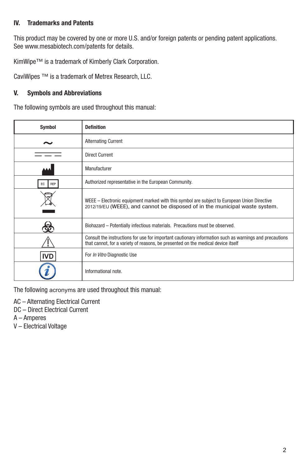### lV. Trademarks and Patents

This product may be covered by one or more U.S. and/or foreign patents or pending patent applications. See www.mesabiotech.com/patents for details.

KimWipe™ is a trademark of Kimberly Clark Corporation.

CaviWipes ™ is a trademark of Metrex Research, LLC.

### V. Symbols and Abbreviations

The following symbols are used throughout this manual:

| Symbol    | <b>Definition</b>                                                                                                                                                                          |
|-----------|--------------------------------------------------------------------------------------------------------------------------------------------------------------------------------------------|
|           | <b>Alternating Current</b>                                                                                                                                                                 |
|           | <b>Direct Current</b>                                                                                                                                                                      |
|           | Manufacturer                                                                                                                                                                               |
| REP<br>EC | Authorized representative in the European Community.                                                                                                                                       |
|           | WEEE – Electronic equipment marked with this symbol are subject to European Union Directive<br>2012/19/EU (WEEE), and cannot be disposed of in the municipal waste system.                 |
|           | Biohazard - Potentially infectious materials. Precautions must be observed.                                                                                                                |
|           | Consult the instructions for use for important cautionary information such as warnings and precautions<br>that cannot, for a variety of reasons, be presented on the medical device itself |
| IVD       | For In Vitro Diagnostic Use                                                                                                                                                                |
|           | Informational note.                                                                                                                                                                        |

The following acronyms are used throughout this manual:

- AC Alternating Electrical Current
- DC Direct Electrical Current
- A Amperes
- V Electrical Voltage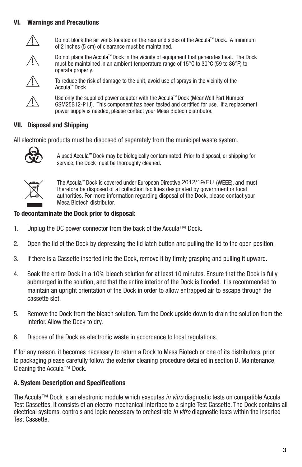### VI. Warnings and Precautions



 $\sqrt{I}$  Do not block the air vents located on the rear and sides of the Accula™ Dock. A minimum of 2 inches (5 cm) of clearance must be maintained.



operate properly. must be maintained in an ambient temperature range of 15°C to 30°C (59 to 86°F) to Do not place the Accula™ Dock in the vicinity of equipment that generates heat. The Dock





Y Use only the supplied power adapter with the Accula™ Dock (MeanWell Part Number GSM25B12-P1J). This component has been tested and certified for use. If a replacement power supply is needed, please contact your Mesa Biotech distributor.

### VII. Disposal and Shipping

All electronic products must be disposed of separately from the municipal waste system.



A used Accula™ Dock may be biologically contaminated. Prior to disposal, or shipping for service, the Dock must be thoroughly cleaned.



The Accula™ Dock is covered under European Directive 2012/19/EU (WEEE), and must therefore be disposed of at collection facilities designated by government or local authorities. For more information regarding disposal of the Dock, please contact your Mesa Biotech distributor.

### To decontaminate the Dock prior to disposal:

- 1. Unplug the DC power connector from the back of the Accula™ Dock.
- 2. Open the lid of the Dock by depressing the lid latch button and pulling the lid to the open position.
- 3. If there is a Cassette inserted into the Dock, remove it by firmly grasping and pulling it upward.
- 4. Soak the entire Dock in a 10% bleach solution for at least 10 minutes. Ensure that the Dock is fully submerged in the solution, and that the entire interior of the Dock is flooded. It is recommended to maintain an upright orientation of the Dock in order to allow entrapped air to escape through the cassette slot.
- 5. Remove the Dock from the bleach solution. Turn the Dock upside down to drain the solution from the interior. Allow the Dock to dry.
- 6. Dispose of the Dock as electronic waste in accordance to local regulations.

If for any reason, it becomes necessary to return a Dock to Mesa Biotech or one of its distributors, prior to packaging please carefully follow the exterior cleaning procedure detailed in section D. Maintenance, Cleaning the Accula™ Dock.

### A. System Description and Specifications

The Accula™ Dock is an electronic module which executes *in vitro* diagnostic tests on compatible Accula Test Cassettes. It consists of an electro-mechanical interface to a single Test Cassette. The Dock contains all electrical systems, controls and logic necessary to orchestrate *in vitro* diagnostic tests within the inserted Test Cassette.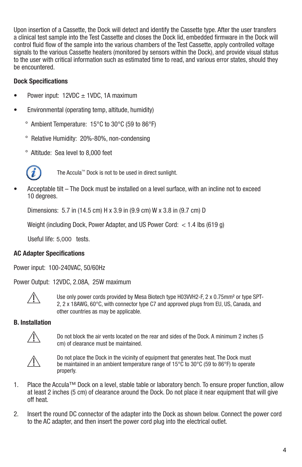Upon insertion of a Cassette, the Dock will detect and identify the Cassette type. After the user transfers a clinical test sample into the Test Cassette and closes the Dock lid, embedded firmware in the Dock will control fluid flow of the sample into the various chambers of the Test Cassette, apply controlled voltage signals to the various Cassette heaters (monitored by sensors within the Dock), and provide visual status to the user with critical information such as estimated time to read, and various error states, should they be encountered.

#### Dock Specifications

- Power input:  $12VDC \pm 1VDC$ , 1A maximum
- Environmental (operating temp, altitude, humidity)
	- ° Ambient Temperature: 15°C to 30°C (59 to 86°F)
	- ° Relative Humidity: 20%-80%, non-condensing
	- ° Altitude: Sea level to 8,000 feet



The Accula™ Dock is not to be used in direct sunlight.

• Acceptable tilt – The Dock must be installed on a level surface, with an incline not to exceed 10 degrees.

Dimensions: 5.7 in (14.5 cm) H x 3.9 in (9.9 cm) W x 3.8 in (9.7 cm) D

Weight (including Dock, Power Adapter, and US Power Cord: < 1.4 lbs (619 g)

Useful life: 5,000 tests.

#### AC Adapter Specifications

Power input: 100-240VAC, 50/60Hz

Power Output: 12VDC, 2.08A, 25W maximum



Use only power cords provided by Mesa Biotech type H03WH2-F, 2 x 0.75mm<sup>2</sup> or type SPT-<br>2, 2 x 18AWG, 60°C, with connector type C7 and approved plugs from EU, US, Canada, and other countries as may be applicable.

#### B. Installation



Do not block the air vents located on the rear and sides of the Dock. A minimum 2 inches (5 cm) of clearance must be maintained.



 $\bigwedge$  Do not place the Dock in the vicinity of equipment that generates heat. The Dock must be maintained in an ambient temperature range of 15°C to 30°C (59 to 86°F) to operate properly.

- 1. Place the Accula™ Dock on a level, stable table or laboratory bench. To ensure proper function, allow at least 2 inches (5 cm) of clearance around the Dock. Do not place it near equipment that will give off heat.
- 2. Insert the round DC connector of the adapter into the Dock as shown below. Connect the power cord to the AC adapter, and then insert the power cord plug into the electrical outlet.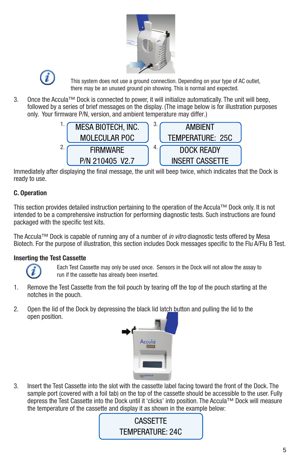



there may be an unused ground pin showing. This is normal and expected. This system does not use a ground connection. Depending on your type of AC outlet,

3. only. Your firmware P/N, version, and ambient temperature may differ.) followed by a series of brief messages on the display. (The image below is for illustration purposes Once the Accula™ Dock is connected to power, it will initialize automatically. The unit will beep,



Immediately after displaying the final message, the unit will beep twice, which indicates that the Dock is ready to use.

### C. Operation

This section provides detailed instruction pertaining to the operation of the Accula™ Dock only. It is not intended to be a comprehensive instruction for performing diagnostic tests. Such instructions are found packaged with the specific test kits.

The Accula™ Dock is capable of running any of a number of *in vitro* diagnostic tests offered by Mesa Biotech. For the purpose of illustration, this section includes Dock messages specific to the Flu A/Flu B Test.

### Inserting the Test Cassette



Each Test Cassette may only be used once. Sensors in the Dock will not allow the assay to run if the cassette has already been inserted.

- 1. Remove the Test Cassette from the foil pouch by tearing off the top of the pouch starting at the notches in the pouch.
- 2. Open the lid of the Dock by depressing the black lid latch button and pulling the lid to the open position.



3. Insert the Test Cassette into the slot with the cassette label facing toward the front of the Dock. The sample port (covered with a foil tab) on the top of the cassette should be accessible to the user. Fully depress the Test Cassette into the Dock until it 'clicks' into position. The Accula™ Dock will measure the temperature of the cassette and display it as shown in the example below:

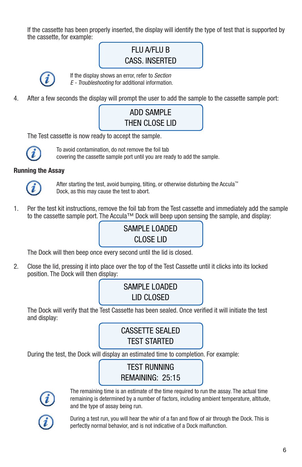If the cassette has been properly inserted, the display will identify the type of test that is supported by the cassette, for example:

# FLU A/FLU B CASS. INSERTED



If the display shows an error, refer to *Section E - Troubleshooting* for additional information.

4. After a few seconds the display will prompt the user to add the sample to the cassette sample port:

# ADD SAMPLE THEN CLOSE LID

The Test cassette is now ready to accept the sample.



To avoid contamination, do not remove the foil tab covering the cassette sample port until you are ready to add the sample.

### Running the Assay



After starting the test, avoid bumping, tilting, or otherwise disturbing the Accula™ Dock, as this may cause the test to abort.

1. Per the test kit instructions, remove the foil tab from the Test cassette and immediately add the sample to the cassette sample port. The Accula™ Dock will beep upon sensing the sample, and display:

# SAMPLE LOADED CLOSE LID

The Dock will then beep once every second until the lid is closed.

2. Close the lid, pressing it into place over the top of the Test Cassette until it clicks into its locked position. The Dock will then display:

# SAMPLE LOADED LID CLOSED

The Dock will verify that the Test Cassette has been sealed. Once verified it will initiate the test and display:

# CASSETTE SEALED TEST STARTED

During the test, the Dock will display an estimated time to completion. For example:

### TEST RUNNING REMAINING: 25:15



The remaining time is an estimate of the time required to run the assay. The actual time remaining is determined by a number of factors, including ambient temperature, altitude, and the type of assay being run.



During a test run, you will hear the whir of a fan and flow of air through the Dock. This is perfectly normal behavior, and is not indicative of a Dock malfunction.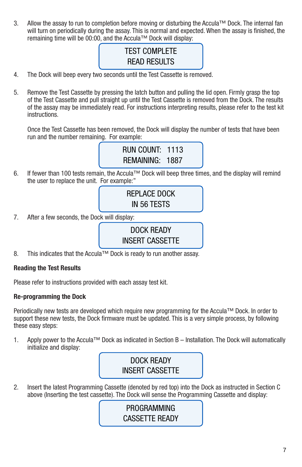3. Allow the assay to run to completion before moving or disturbing the Accula™ Dock. The internal fan will turn on periodically during the assay. This is normal and expected. When the assay is finished, the remaining time will be 00:00, and the Accula™ Dock will display:

# **TEST COMPLETE** READ RESULTS

- 4. The Dock will beep every two seconds until the Test Cassette is removed.
- 5. Remove the Test Cassette by pressing the latch button and pulling the lid open. Firmly grasp the top of the Test Cassette and pull straight up until the Test Cassette is removed from the Dock. The results of the assay may be immediately read. For instructions interpreting results, please refer to the test kit instructions.

Once the Test Cassette has been removed, the Dock will display the number of tests that have been run and the number remaining. For example:

> RUN COUNT: 1113 REMAINING: 1887

6. If fewer than 100 tests remain, the Accula™ Dock will beep three times, and the display will remind the user to replace the unit. For example:"

> REPLACE DOCK IN 56 TESTS

7. After a few seconds, the Dock will display:

DOCK READY INSERT CASSETTE

8. This indicates that the Accula™ Dock is ready to run another assay.

### Reading the Test Results

Please refer to instructions provided with each assay test kit.

#### Re-programming the Dock

Periodically new tests are developed which require new programming for the Accula™ Dock. In order to support these new tests, the Dock firmware must be updated. This is a very simple process, by following these easy steps:

1. Apply power to the Accula™ Dock as indicated in Section B – Installation. The Dock will automatically initialize and display:



2. Insert the latest Programming Cassette (denoted by red top) into the Dock as instructed in Section C above (Inserting the test cassette). The Dock will sense the Programming Cassette and display:

### PROGRAMMING CASSETTE READY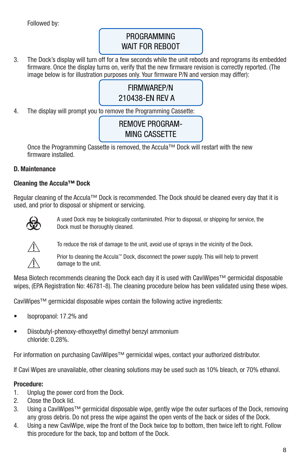Followed by:

### PROGRAMMING WAIT FOR REBOOT

3. The Dock's display will turn off for a few seconds while the unit reboots and reprograms its embedded firmware. Once the display turns on, verify that the new firmware revision is correctly reported. (The image below is for illustration purposes only. Your firmware P/N and version may differ):

### FIRMWAREP/N 210438-EN REV A

4. The display will prompt you to remove the Programming Cassette:

### REMOVE PROGRAM-MING CASSETTE

Once the Programming Cassette is removed, the Accula™ Dock will restart with the new firmware installed.

### D. Maintenance

### Cleaning the Accula™ Dock

Regular cleaning of the Accula™ Dock is recommended. The Dock should be cleaned every day that it is used, and prior to disposal or shipment or servicing.



F A used Dock may be biologically contaminated. Prior to disposal, or shipping for service, the Dock must be thoroughly cleaned.



To reduce the risk of damage to the unit, avoid use of sprays in the vicinity of the Dock.

Prior to cleaning the Accula™ Dock, disconnect the power supply. This will help to prevent damage to the unit.

Mesa Biotech recommends cleaning the Dock each day it is used with CaviWipes™ germicidal disposable wipes, (EPA Registration No: 46781-8). The cleaning procedure below has been validated using these wipes.

CaviWipes™ germicidal disposable wipes contain the following active ingredients:

- Isopropanol: 17.2% and
- Diisobutyl-phenoxy-ethoxyethyl dimethyl benzyl ammonium chloride: 0.28%.

For information on purchasing CaviWipes™ germicidal wipes, contact your authorized distributor.

If Cavi Wipes are unavailable, other cleaning solutions may be used such as 10% bleach, or 70% ethanol.

### Procedure:

- 1. Unplug the power cord from the Dock.
- 2. Close the Dock lid.
- 3. Using a CaviWipes™ germicidal disposable wipe, gently wipe the outer surfaces of the Dock, removing any gross debris. Do not press the wipe against the open vents of the back or sides of the Dock.
- 4. Using a new CaviWipe, wipe the front of the Dock twice top to bottom, then twice left to right. Follow this procedure for the back, top and bottom of the Dock.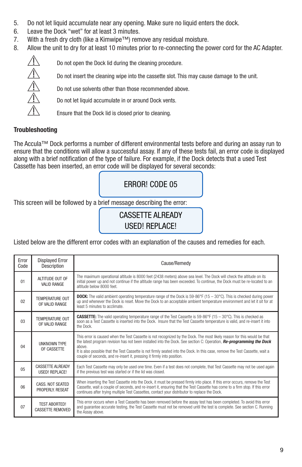- 5. Do not let liquid accumulate near any opening. Make sure no liquid enters the dock.
- 6. Leave the Dock "wet" for at least 3 minutes.
- 7. With a fresh dry cloth (like a Kimwipe™) remove any residual moisture.
- 8. Allow the unit to dry for at least 10 minutes prior to re-connecting the power cord for the AC Adapter.



Do not insert the cleaning wipe into the cassette slot. This may cause damage to the unit.

 $\overbrace{?}$  Do not open the Dock lid during the cleaning procedure.<br>Do not insert the cleaning wipe into the cassette slot. Thi<br>Do not use solvents other than those recommended abo Do not use solvents other than those recommended above.

Do not let liquid accumulate in or around Dock vents.

Ensure that the Dock lid is closed prior to cleaning.

### Troubleshooting

The Accula™ Dock performs a number of different environmental tests before and during an assay run to ensure that the conditions will allow a successful assay. If any of these tests fail, an error code is displayed along with a brief notification of the type of failure. For example, if the Dock detects that a used Test Cassette has been inserted, an error code will be displayed for several seconds:

ERROR! CODE 05

This screen will be followed by a brief message describing the error:

### CASSETTE ALREADY USED! REPLACE!

Listed below are the different error codes with an explanation of the causes and remedies for each.

| Error<br>Code  | <b>Displayed Error</b><br>Description            | Cause/Remedy                                                                                                                                                                                                                                                                                                                                                                                                                                                         |
|----------------|--------------------------------------------------|----------------------------------------------------------------------------------------------------------------------------------------------------------------------------------------------------------------------------------------------------------------------------------------------------------------------------------------------------------------------------------------------------------------------------------------------------------------------|
| 01             | ALTITUDE OUT OF<br><b>VALID RANGE</b>            | The maximum operational altitude is 8000 feet (2438 meters) above sea level. The Dock will check the altitude on its<br>initial power up and not continue if the altitude range has been exceeded. To continue, the Dock must be re-located to an<br>altitude below 8000 feet.                                                                                                                                                                                       |
| 02             | TEMPERATURE OUT<br>OF VALID RANGE                | <b>DOCK:</b> The valid ambient operating temperature range of the Dock is 59-86°F (15 – 30°C). This is checked during power<br>up and whenever the Dock is reset. Move the Dock to an acceptable ambient temperature environment and let it sit for at<br>least 5 minutes to acclimate.                                                                                                                                                                              |
| 0 <sub>3</sub> | TEMPERATURE OUT<br>OF VALID RANGE                | <b>CASSETTE:</b> The valid operating temperature range of the Test Cassette is 59-86°F (15 - 30°C). This is checked as<br>soon as a Test Cassette is inserted into the Dock. Insure that the Test Cassette temperature is valid, and re-insert it into<br>the Dock.                                                                                                                                                                                                  |
| 04             | <b>I INKNOWN TYPE</b><br>OF CASSETTE             | This error is caused when the Test Cassette is not recognized by the Dock. The most likely reason for this would be that<br>the latest program revision has not been installed into the Dock. See section C: Operation, Re-programming the Dock<br>above.<br>It is also possible that the Test Cassette is not firmly seated into the Dock. In this case, remove the Test Cassette, wait a<br>couple of seconds, and re-insert it, pressing it firmly into position. |
| 0 <sub>5</sub> | <b>CASSETTE ALREADY</b><br><b>USED! REPLACE!</b> | Each Test Cassette may only be used one time. Even if a test does not complete, that Test Cassette may not be used again<br>if the previous test was started or if the lid was closed.                                                                                                                                                                                                                                                                               |
| 06             | <b>CASS. NOT SEATED</b><br>PROPERLY, RESEAT      | When inserting the Test Cassette into the Dock, it must be pressed firmly into place. If this error occurs, remove the Test<br>Cassette, wait a couple of seconds, and re-insert it, ensuring that the Test Cassette has come to a firm stop. If this error<br>continues after trying multiple Test Cassettes, contact your distributor to replace the Dock.                                                                                                         |
| 07             | <b>TEST ABORTED!</b><br><b>CASSETTE REMOVED</b>  | This error occurs when a Test Cassette has been removed before the assay test has been completed. To avoid this error<br>and quarantee accurate testing, the Test Cassette must not be removed until the test is complete. See section C. Running<br>the Assay above.                                                                                                                                                                                                |